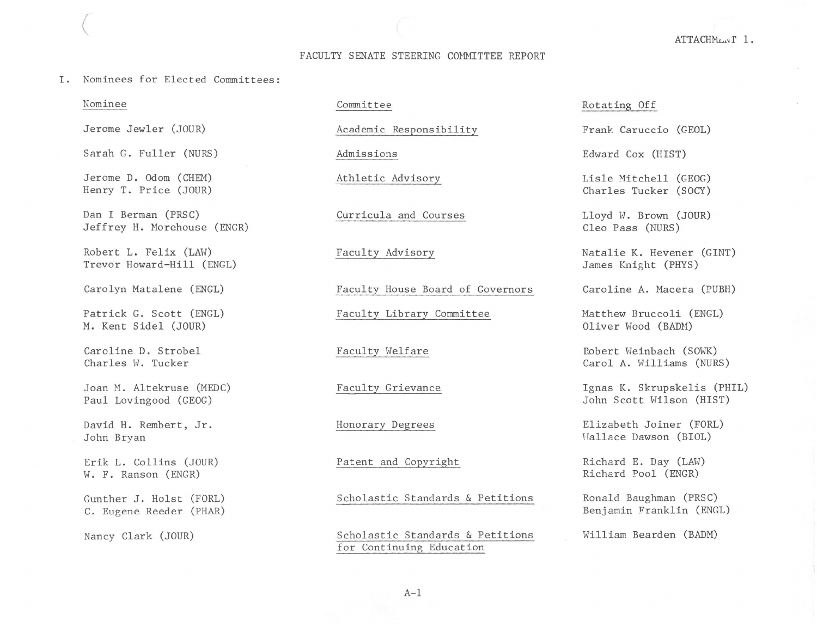# FACULTY SENATE STEERING COMMITTEE REPORT

I. Nominees for Elected Committees:

## Nominee

 $\bigg($ 

Jerome Jewler (JOUR)

Sarah G. Fuller (NURS)

Jerome D. Odom (CHEM) Henry T. Price (JOUR)

Dan I Berman (PRSC) Jeffrey H. Morehouse (ENGR)

Robert L. Felix (LAW) Trevor Howard-Hill (ENGL)

Carolyn Matalene (ENGL)

Patrick G. Scott (ENGL) M. Kent Sidel (JOUR)

Caroline D. Strobel Charles W. Tucker

Joan M. Altekruse (MEDC) Paul Lovingood (GEOG)

David H. Rembert, Jr. John Bryan

Erik L. Collins (JOUR) W. F. Ranson (ENGR)

Gunther J. Holst (FORL) C. Eugene Reeder (PHAR)

Nancy Clark (JOUR)

# Committee

Academic Responsibility

Admissions

Athletic Advisory

Curricula and Courses

Faculty Advisory

Faculty House Board of Governors

Faculty Library Committee

Faculty Welfare

Faculty Grievance

Honorary Degrees

Patent and Copyright

Scholastic Standards & Petitions

Scholastic Standards & Petitions for Continuing Education

## Rotating Off

Frank Caruccio (GEOL)

Edward Cox (HIST)

Lisle Mitchell (GEOG) Charles Tucker (SOCY)

Lloyd W. Brown (JOUR) Cleo Pass (NURS)

Natalie K. Hevener (GINT) James Knight (PHYS)

Caroline A. Macera (PUBH)

Matthew Bruccoli (ENGL) Oliver Wood (BADM)

Robert Weinbach (SOWK) Carol A. Williams (NURS)

Ignas K. Skrupskelis (PHIL) John Scott Wilson (HIST)

Elizabeth Joiner (FORL) Hallace Dawson (BIOL)

Richard E. Day (LAW) Richard Pool (ENGR)

Ronald Baughman (PRSC) Benjamin Franklin (ENGL)

William Bearden (BADM)